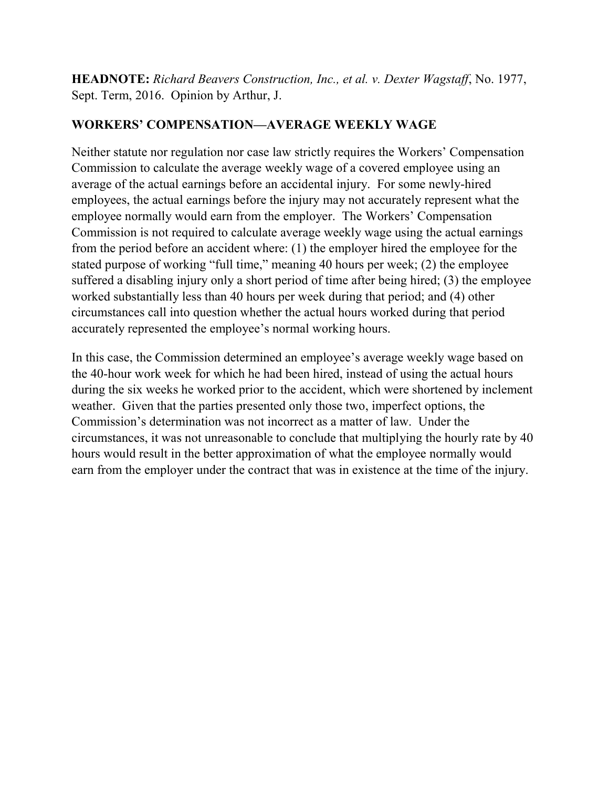**HEADNOTE:** *Richard Beavers Construction, Inc., et al. v. Dexter Wagstaff*, No. 1977, Sept. Term, 2016. Opinion by Arthur, J.

# **WORKERS' COMPENSATION—AVERAGE WEEKLY WAGE**

Neither statute nor regulation nor case law strictly requires the Workers' Compensation Commission to calculate the average weekly wage of a covered employee using an average of the actual earnings before an accidental injury. For some newly-hired employees, the actual earnings before the injury may not accurately represent what the employee normally would earn from the employer. The Workers' Compensation Commission is not required to calculate average weekly wage using the actual earnings from the period before an accident where: (1) the employer hired the employee for the stated purpose of working "full time," meaning 40 hours per week; (2) the employee suffered a disabling injury only a short period of time after being hired; (3) the employee worked substantially less than 40 hours per week during that period; and (4) other circumstances call into question whether the actual hours worked during that period accurately represented the employee's normal working hours.

In this case, the Commission determined an employee's average weekly wage based on the 40-hour work week for which he had been hired, instead of using the actual hours during the six weeks he worked prior to the accident, which were shortened by inclement weather. Given that the parties presented only those two, imperfect options, the Commission's determination was not incorrect as a matter of law. Under the circumstances, it was not unreasonable to conclude that multiplying the hourly rate by 40 hours would result in the better approximation of what the employee normally would earn from the employer under the contract that was in existence at the time of the injury.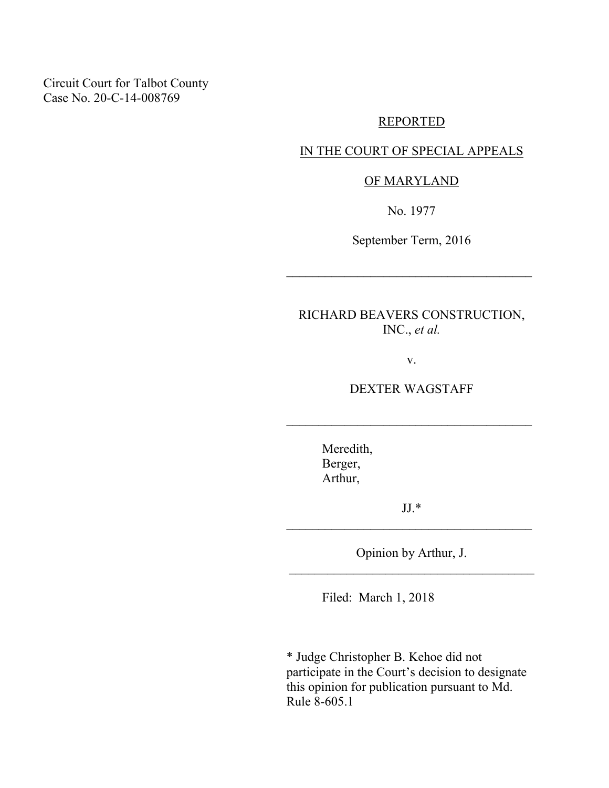Circuit Court for Talbot County Case No. 20-C-14-008769

#### REPORTED

## IN THE COURT OF SPECIAL APPEALS

### OF MARYLAND

No. 1977

September Term, 2016

\_\_\_\_\_\_\_\_\_\_\_\_\_\_\_\_\_\_\_\_\_\_\_\_\_\_\_\_\_\_\_\_\_\_\_\_\_\_

RICHARD BEAVERS CONSTRUCTION, INC., *et al.*

v.

DEXTER WAGSTAFF

\_\_\_\_\_\_\_\_\_\_\_\_\_\_\_\_\_\_\_\_\_\_\_\_\_\_\_\_\_\_\_\_\_\_\_\_\_\_

Meredith, Berger, Arthur,

JJ.\* \_\_\_\_\_\_\_\_\_\_\_\_\_\_\_\_\_\_\_\_\_\_\_\_\_\_\_\_\_\_\_\_\_\_\_\_\_\_

Opinion by Arthur, J. \_\_\_\_\_\_\_\_\_\_\_\_\_\_\_\_\_\_\_\_\_\_\_\_\_\_\_\_\_\_\_\_\_\_\_\_\_\_

Filed: March 1, 2018

\* Judge Christopher B. Kehoe did not participate in the Court's decision to designate this opinion for publication pursuant to Md. Rule 8-605.1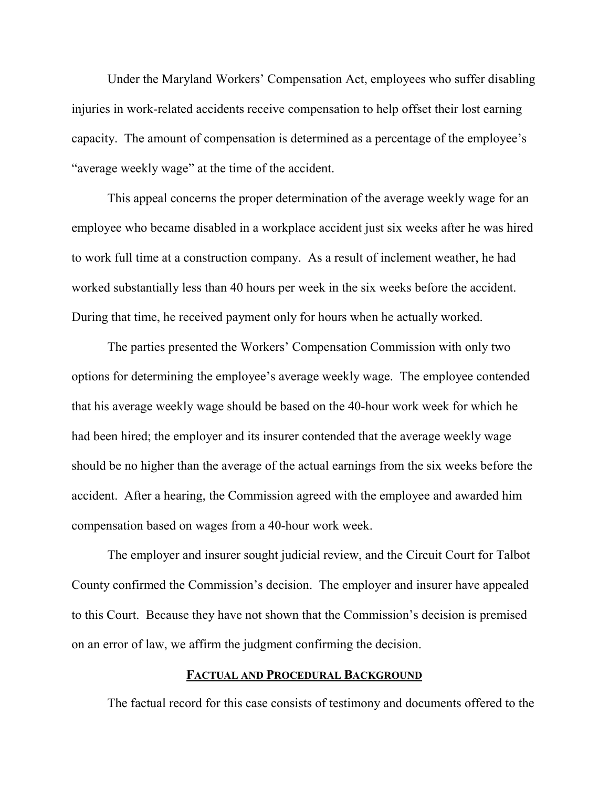Under the Maryland Workers' Compensation Act, employees who suffer disabling injuries in work-related accidents receive compensation to help offset their lost earning capacity. The amount of compensation is determined as a percentage of the employee's "average weekly wage" at the time of the accident.

This appeal concerns the proper determination of the average weekly wage for an employee who became disabled in a workplace accident just six weeks after he was hired to work full time at a construction company. As a result of inclement weather, he had worked substantially less than 40 hours per week in the six weeks before the accident. During that time, he received payment only for hours when he actually worked.

The parties presented the Workers' Compensation Commission with only two options for determining the employee's average weekly wage. The employee contended that his average weekly wage should be based on the 40-hour work week for which he had been hired; the employer and its insurer contended that the average weekly wage should be no higher than the average of the actual earnings from the six weeks before the accident. After a hearing, the Commission agreed with the employee and awarded him compensation based on wages from a 40-hour work week.

The employer and insurer sought judicial review, and the Circuit Court for Talbot County confirmed the Commission's decision. The employer and insurer have appealed to this Court. Because they have not shown that the Commission's decision is premised on an error of law, we affirm the judgment confirming the decision.

#### **FACTUAL AND PROCEDURAL BACKGROUND**

The factual record for this case consists of testimony and documents offered to the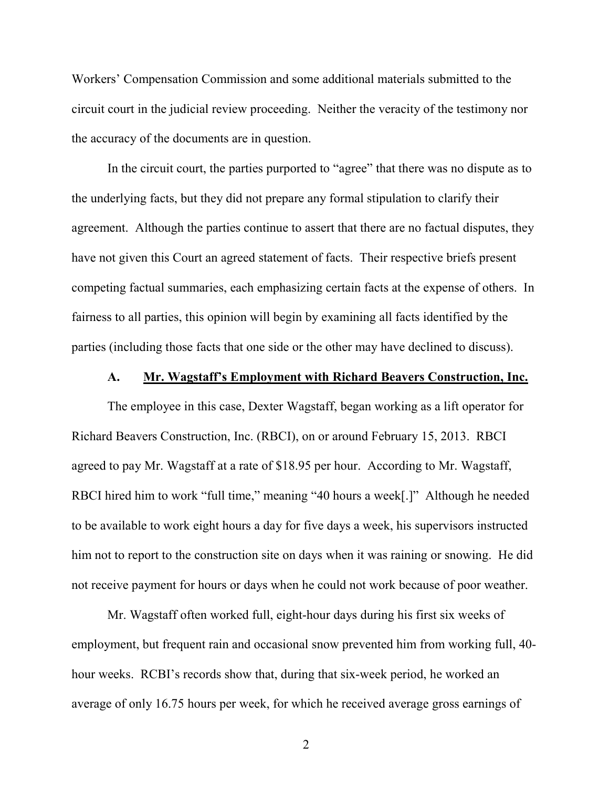Workers' Compensation Commission and some additional materials submitted to the circuit court in the judicial review proceeding. Neither the veracity of the testimony nor the accuracy of the documents are in question.

In the circuit court, the parties purported to "agree" that there was no dispute as to the underlying facts, but they did not prepare any formal stipulation to clarify their agreement. Although the parties continue to assert that there are no factual disputes, they have not given this Court an agreed statement of facts. Their respective briefs present competing factual summaries, each emphasizing certain facts at the expense of others. In fairness to all parties, this opinion will begin by examining all facts identified by the parties (including those facts that one side or the other may have declined to discuss).

### **A. Mr. Wagstaff's Employment with Richard Beavers Construction, Inc.**

The employee in this case, Dexter Wagstaff, began working as a lift operator for Richard Beavers Construction, Inc. (RBCI), on or around February 15, 2013. RBCI agreed to pay Mr. Wagstaff at a rate of \$18.95 per hour. According to Mr. Wagstaff, RBCI hired him to work "full time," meaning "40 hours a week[.]" Although he needed to be available to work eight hours a day for five days a week, his supervisors instructed him not to report to the construction site on days when it was raining or snowing. He did not receive payment for hours or days when he could not work because of poor weather.

Mr. Wagstaff often worked full, eight-hour days during his first six weeks of employment, but frequent rain and occasional snow prevented him from working full, 40 hour weeks. RCBI's records show that, during that six-week period, he worked an average of only 16.75 hours per week, for which he received average gross earnings of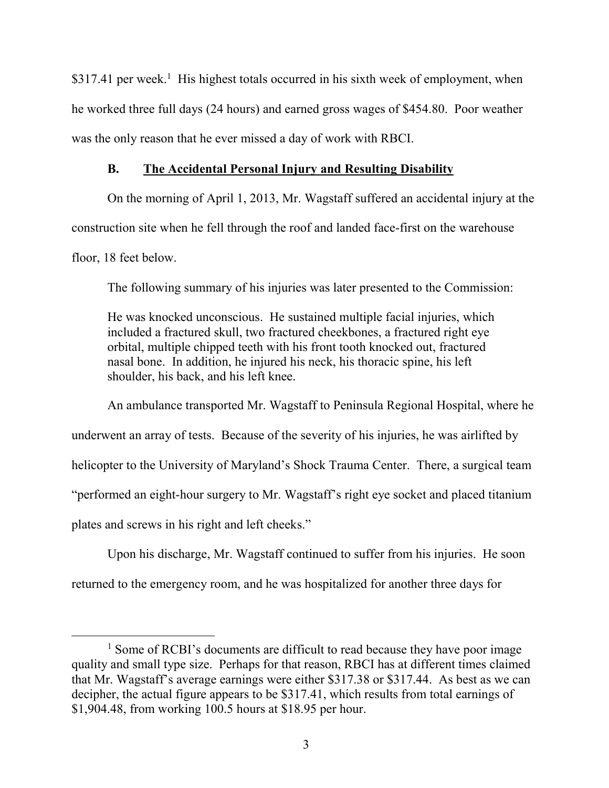\$317.41 per week.<sup>1</sup> His highest totals occurred in his sixth week of employment, when he worked three full days (24 hours) and earned gross wages of \$454.80. Poor weather was the only reason that he ever missed a day of work with RBCI.

## **B. The Accidental Personal Injury and Resulting Disability**

On the morning of April 1, 2013, Mr. Wagstaff suffered an accidental injury at the construction site when he fell through the roof and landed face-first on the warehouse floor, 18 feet below.

The following summary of his injuries was later presented to the Commission:

He was knocked unconscious. He sustained multiple facial injuries, which included a fractured skull, two fractured cheekbones, a fractured right eye orbital, multiple chipped teeth with his front tooth knocked out, fractured nasal bone. In addition, he injured his neck, his thoracic spine, his left shoulder, his back, and his left knee.

An ambulance transported Mr. Wagstaff to Peninsula Regional Hospital, where he underwent an array of tests. Because of the severity of his injuries, he was airlifted by helicopter to the University of Maryland's Shock Trauma Center. There, a surgical team "performed an eight-hour surgery to Mr. Wagstaff's right eye socket and placed titanium plates and screws in his right and left cheeks."

Upon his discharge, Mr. Wagstaff continued to suffer from his injuries. He soon

returned to the emergency room, and he was hospitalized for another three days for

<sup>&</sup>lt;sup>1</sup> Some of RCBI's documents are difficult to read because they have poor image quality and small type size. Perhaps for that reason, RBCI has at different times claimed that Mr. Wagstaff's average earnings were either \$317.38 or \$317.44. As best as we can decipher, the actual figure appears to be \$317.41, which results from total earnings of \$1,904.48, from working 100.5 hours at \$18.95 per hour.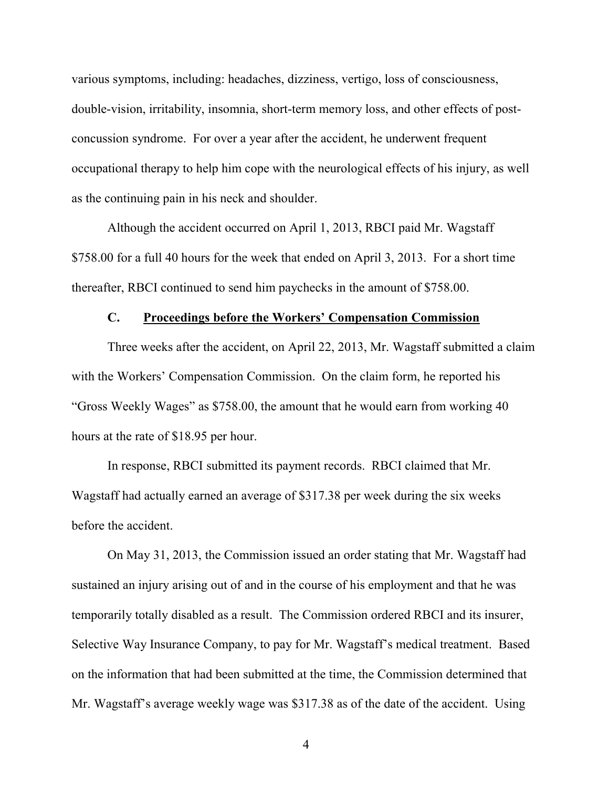various symptoms, including: headaches, dizziness, vertigo, loss of consciousness, double-vision, irritability, insomnia, short-term memory loss, and other effects of postconcussion syndrome. For over a year after the accident, he underwent frequent occupational therapy to help him cope with the neurological effects of his injury, as well as the continuing pain in his neck and shoulder.

Although the accident occurred on April 1, 2013, RBCI paid Mr. Wagstaff \$758.00 for a full 40 hours for the week that ended on April 3, 2013. For a short time thereafter, RBCI continued to send him paychecks in the amount of \$758.00.

#### **C. Proceedings before the Workers' Compensation Commission**

Three weeks after the accident, on April 22, 2013, Mr. Wagstaff submitted a claim with the Workers' Compensation Commission. On the claim form, he reported his "Gross Weekly Wages" as \$758.00, the amount that he would earn from working 40 hours at the rate of \$18.95 per hour.

In response, RBCI submitted its payment records. RBCI claimed that Mr. Wagstaff had actually earned an average of \$317.38 per week during the six weeks before the accident.

On May 31, 2013, the Commission issued an order stating that Mr. Wagstaff had sustained an injury arising out of and in the course of his employment and that he was temporarily totally disabled as a result. The Commission ordered RBCI and its insurer, Selective Way Insurance Company, to pay for Mr. Wagstaff's medical treatment. Based on the information that had been submitted at the time, the Commission determined that Mr. Wagstaff's average weekly wage was \$317.38 as of the date of the accident. Using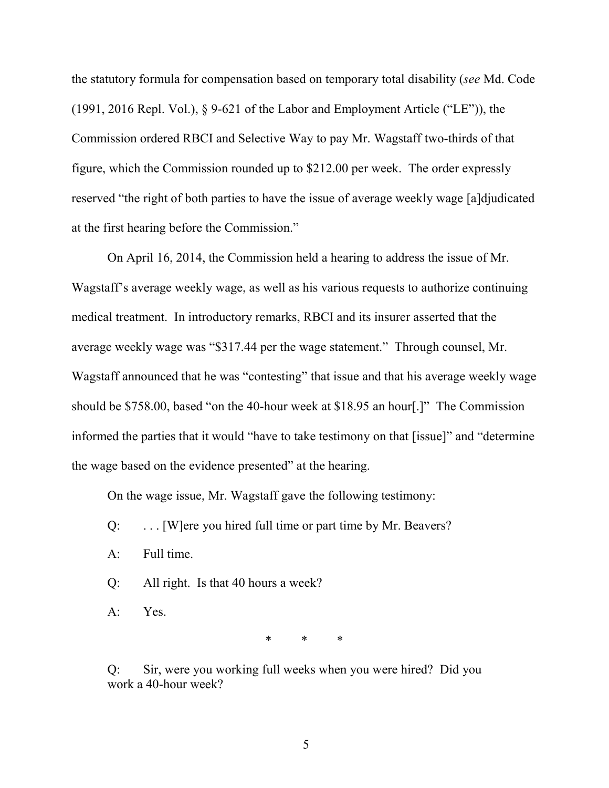the statutory formula for compensation based on temporary total disability (*see* Md. Code (1991, 2016 Repl. Vol.), § 9-621 of the Labor and Employment Article ("LE")), the Commission ordered RBCI and Selective Way to pay Mr. Wagstaff two-thirds of that figure, which the Commission rounded up to \$212.00 per week. The order expressly reserved "the right of both parties to have the issue of average weekly wage [a]djudicated at the first hearing before the Commission."

On April 16, 2014, the Commission held a hearing to address the issue of Mr. Wagstaff's average weekly wage, as well as his various requests to authorize continuing medical treatment. In introductory remarks, RBCI and its insurer asserted that the average weekly wage was "\$317.44 per the wage statement." Through counsel, Mr. Wagstaff announced that he was "contesting" that issue and that his average weekly wage should be \$758.00, based "on the 40-hour week at \$18.95 an hour[.]" The Commission informed the parties that it would "have to take testimony on that [issue]" and "determine the wage based on the evidence presented" at the hearing.

On the wage issue, Mr. Wagstaff gave the following testimony:

- Q: . . . [W]ere you hired full time or part time by Mr. Beavers?
- A: Full time.
- Q: All right. Is that 40 hours a week?
- A: Yes.

\* \* \*

Q: Sir, were you working full weeks when you were hired? Did you work a 40-hour week?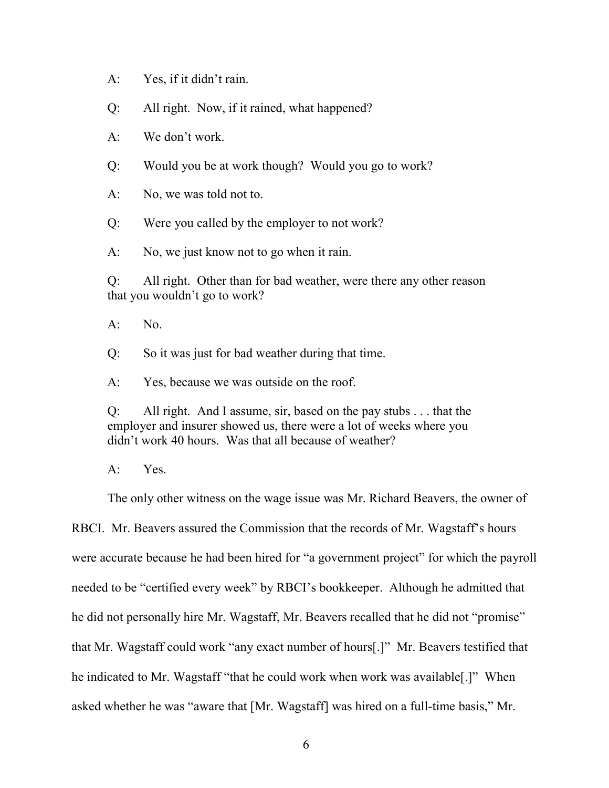A: Yes, if it didn't rain.

Q: All right. Now, if it rained, what happened?

A: We don't work.

Q: Would you be at work though? Would you go to work?

A: No, we was told not to.

Q: Were you called by the employer to not work?

A: No, we just know not to go when it rain.

Q: All right. Other than for bad weather, were there any other reason that you wouldn't go to work?

 $A:$  No.

Q: So it was just for bad weather during that time.

A: Yes, because we was outside on the roof.

Q: All right. And I assume, sir, based on the pay stubs . . . that the employer and insurer showed us, there were a lot of weeks where you didn't work 40 hours. Was that all because of weather?

A: Yes.

The only other witness on the wage issue was Mr. Richard Beavers, the owner of

RBCI. Mr. Beavers assured the Commission that the records of Mr. Wagstaff's hours were accurate because he had been hired for "a government project" for which the payroll needed to be "certified every week" by RBCI's bookkeeper. Although he admitted that he did not personally hire Mr. Wagstaff, Mr. Beavers recalled that he did not "promise" that Mr. Wagstaff could work "any exact number of hours[.]" Mr. Beavers testified that he indicated to Mr. Wagstaff "that he could work when work was available[.]" When asked whether he was "aware that [Mr. Wagstaff] was hired on a full-time basis," Mr.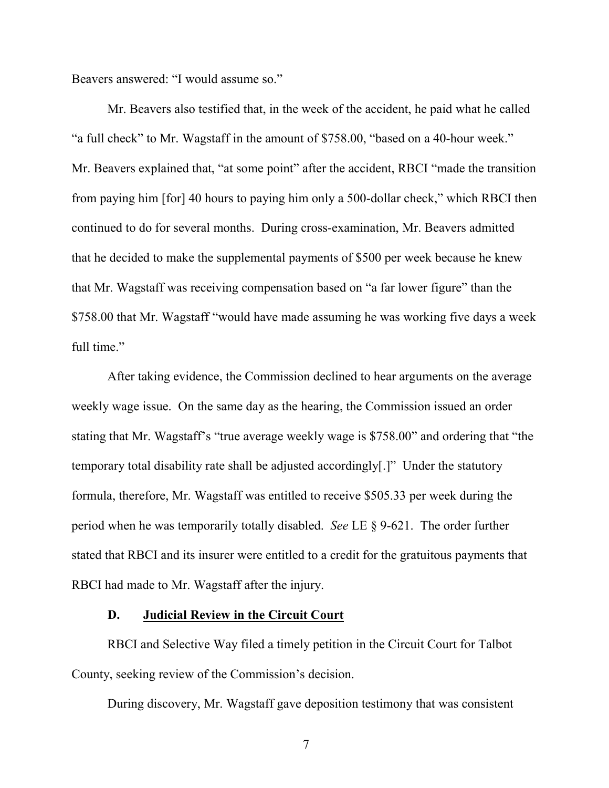Beavers answered: "I would assume so."

Mr. Beavers also testified that, in the week of the accident, he paid what he called "a full check" to Mr. Wagstaff in the amount of \$758.00, "based on a 40-hour week." Mr. Beavers explained that, "at some point" after the accident, RBCI "made the transition from paying him [for] 40 hours to paying him only a 500-dollar check," which RBCI then continued to do for several months. During cross-examination, Mr. Beavers admitted that he decided to make the supplemental payments of \$500 per week because he knew that Mr. Wagstaff was receiving compensation based on "a far lower figure" than the \$758.00 that Mr. Wagstaff "would have made assuming he was working five days a week full time."

After taking evidence, the Commission declined to hear arguments on the average weekly wage issue. On the same day as the hearing, the Commission issued an order stating that Mr. Wagstaff's "true average weekly wage is \$758.00" and ordering that "the temporary total disability rate shall be adjusted accordingly[.]" Under the statutory formula, therefore, Mr. Wagstaff was entitled to receive \$505.33 per week during the period when he was temporarily totally disabled. *See* LE § 9-621. The order further stated that RBCI and its insurer were entitled to a credit for the gratuitous payments that RBCI had made to Mr. Wagstaff after the injury.

### **D. Judicial Review in the Circuit Court**

RBCI and Selective Way filed a timely petition in the Circuit Court for Talbot County, seeking review of the Commission's decision.

During discovery, Mr. Wagstaff gave deposition testimony that was consistent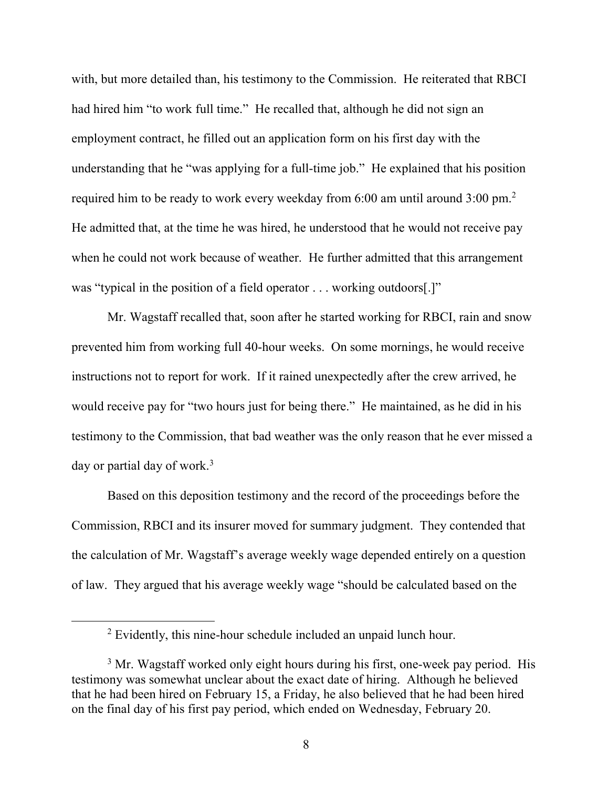with, but more detailed than, his testimony to the Commission. He reiterated that RBCI had hired him "to work full time." He recalled that, although he did not sign an employment contract, he filled out an application form on his first day with the understanding that he "was applying for a full-time job." He explained that his position required him to be ready to work every weekday from 6:00 am until around  $3:00$  pm.<sup>2</sup> He admitted that, at the time he was hired, he understood that he would not receive pay when he could not work because of weather. He further admitted that this arrangement was "typical in the position of a field operator . . . working outdoors[.]"

Mr. Wagstaff recalled that, soon after he started working for RBCI, rain and snow prevented him from working full 40-hour weeks. On some mornings, he would receive instructions not to report for work. If it rained unexpectedly after the crew arrived, he would receive pay for "two hours just for being there." He maintained, as he did in his testimony to the Commission, that bad weather was the only reason that he ever missed a day or partial day of work.<sup>3</sup>

Based on this deposition testimony and the record of the proceedings before the Commission, RBCI and its insurer moved for summary judgment. They contended that the calculation of Mr. Wagstaff's average weekly wage depended entirely on a question of law. They argued that his average weekly wage "should be calculated based on the

<sup>2</sup> Evidently, this nine-hour schedule included an unpaid lunch hour.

<sup>&</sup>lt;sup>3</sup> Mr. Wagstaff worked only eight hours during his first, one-week pay period. His testimony was somewhat unclear about the exact date of hiring. Although he believed that he had been hired on February 15, a Friday, he also believed that he had been hired on the final day of his first pay period, which ended on Wednesday, February 20.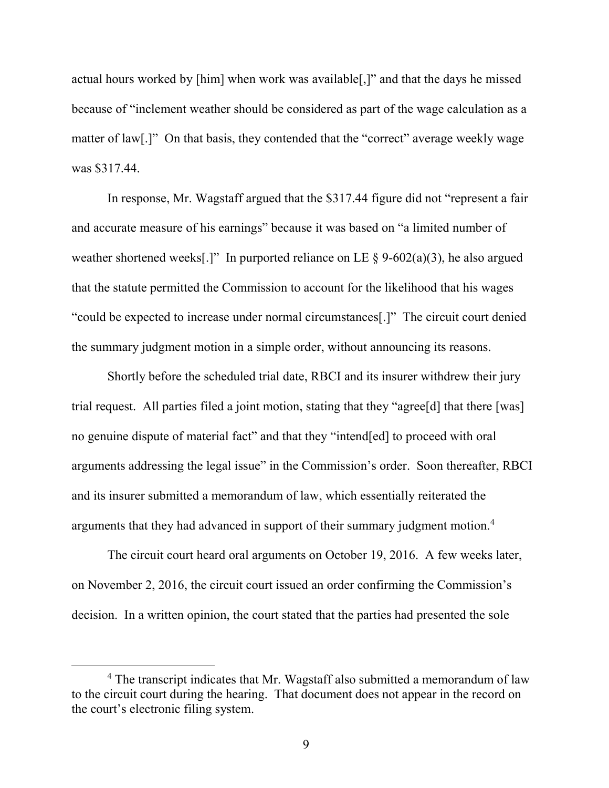actual hours worked by [him] when work was available[,]" and that the days he missed because of "inclement weather should be considered as part of the wage calculation as a matter of law[.]" On that basis, they contended that the "correct" average weekly wage was \$317.44.

In response, Mr. Wagstaff argued that the \$317.44 figure did not "represent a fair and accurate measure of his earnings" because it was based on "a limited number of weather shortened weeks[.]" In purported reliance on LE  $\S$  9-602(a)(3), he also argued that the statute permitted the Commission to account for the likelihood that his wages "could be expected to increase under normal circumstances[.]" The circuit court denied the summary judgment motion in a simple order, without announcing its reasons.

Shortly before the scheduled trial date, RBCI and its insurer withdrew their jury trial request. All parties filed a joint motion, stating that they "agree[d] that there [was] no genuine dispute of material fact" and that they "intend[ed] to proceed with oral arguments addressing the legal issue" in the Commission's order. Soon thereafter, RBCI and its insurer submitted a memorandum of law, which essentially reiterated the arguments that they had advanced in support of their summary judgment motion.<sup>4</sup>

The circuit court heard oral arguments on October 19, 2016. A few weeks later, on November 2, 2016, the circuit court issued an order confirming the Commission's decision. In a written opinion, the court stated that the parties had presented the sole

<sup>&</sup>lt;sup>4</sup> The transcript indicates that Mr. Wagstaff also submitted a memorandum of law to the circuit court during the hearing. That document does not appear in the record on the court's electronic filing system.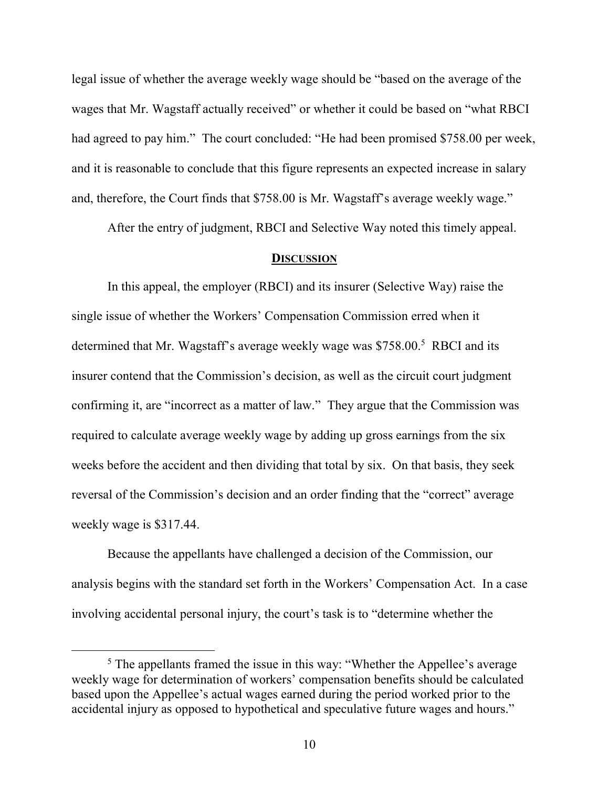legal issue of whether the average weekly wage should be "based on the average of the wages that Mr. Wagstaff actually received" or whether it could be based on "what RBCI had agreed to pay him." The court concluded: "He had been promised \$758.00 per week, and it is reasonable to conclude that this figure represents an expected increase in salary and, therefore, the Court finds that \$758.00 is Mr. Wagstaff's average weekly wage."

After the entry of judgment, RBCI and Selective Way noted this timely appeal.

#### **DISCUSSION**

In this appeal, the employer (RBCI) and its insurer (Selective Way) raise the single issue of whether the Workers' Compensation Commission erred when it determined that Mr. Wagstaff's average weekly wage was \$758.00.<sup>5</sup> RBCI and its insurer contend that the Commission's decision, as well as the circuit court judgment confirming it, are "incorrect as a matter of law." They argue that the Commission was required to calculate average weekly wage by adding up gross earnings from the six weeks before the accident and then dividing that total by six. On that basis, they seek reversal of the Commission's decision and an order finding that the "correct" average weekly wage is \$317.44.

Because the appellants have challenged a decision of the Commission, our analysis begins with the standard set forth in the Workers' Compensation Act. In a case involving accidental personal injury, the court's task is to "determine whether the

<sup>&</sup>lt;sup>5</sup> The appellants framed the issue in this way: "Whether the Appellee's average weekly wage for determination of workers' compensation benefits should be calculated based upon the Appellee's actual wages earned during the period worked prior to the accidental injury as opposed to hypothetical and speculative future wages and hours."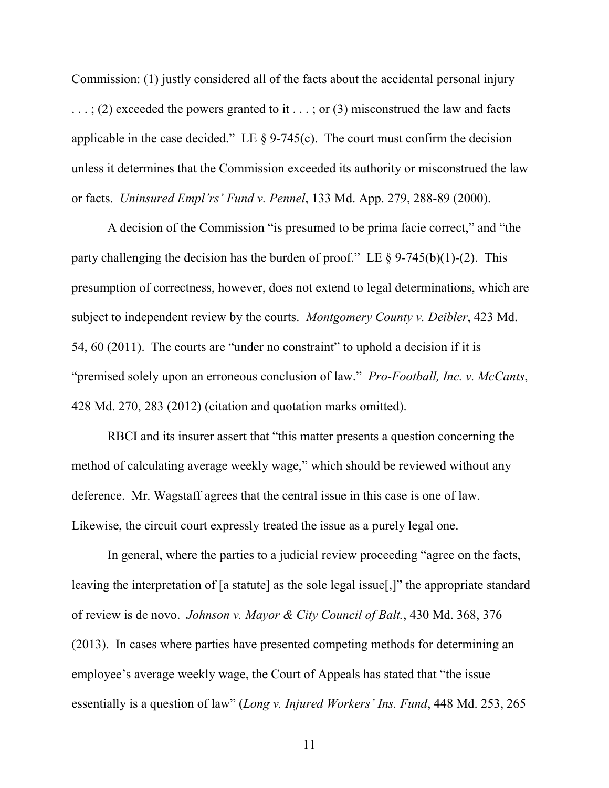Commission: (1) justly considered all of the facts about the accidental personal injury  $\ldots$ ; (2) exceeded the powers granted to it  $\ldots$ ; or (3) misconstrued the law and facts applicable in the case decided." LE  $\S$  9-745(c). The court must confirm the decision unless it determines that the Commission exceeded its authority or misconstrued the law or facts. *Uninsured Empl'rs' Fund v. Pennel*, 133 Md. App. 279, 288-89 (2000).

A decision of the Commission "is presumed to be prima facie correct," and "the party challenging the decision has the burden of proof." LE  $\S$  9-745(b)(1)-(2). This presumption of correctness, however, does not extend to legal determinations, which are subject to independent review by the courts. *Montgomery County v. Deibler*, 423 Md. 54, 60 (2011). The courts are "under no constraint" to uphold a decision if it is "premised solely upon an erroneous conclusion of law." *Pro-Football, Inc. v. McCants*, 428 Md. 270, 283 (2012) (citation and quotation marks omitted).

RBCI and its insurer assert that "this matter presents a question concerning the method of calculating average weekly wage," which should be reviewed without any deference. Mr. Wagstaff agrees that the central issue in this case is one of law. Likewise, the circuit court expressly treated the issue as a purely legal one.

In general, where the parties to a judicial review proceeding "agree on the facts, leaving the interpretation of [a statute] as the sole legal issue[,]" the appropriate standard of review is de novo. *Johnson v. Mayor & City Council of Balt.*, 430 Md. 368, 376 (2013). In cases where parties have presented competing methods for determining an employee's average weekly wage, the Court of Appeals has stated that "the issue essentially is a question of law" (*Long v. Injured Workers' Ins. Fund*, 448 Md. 253, 265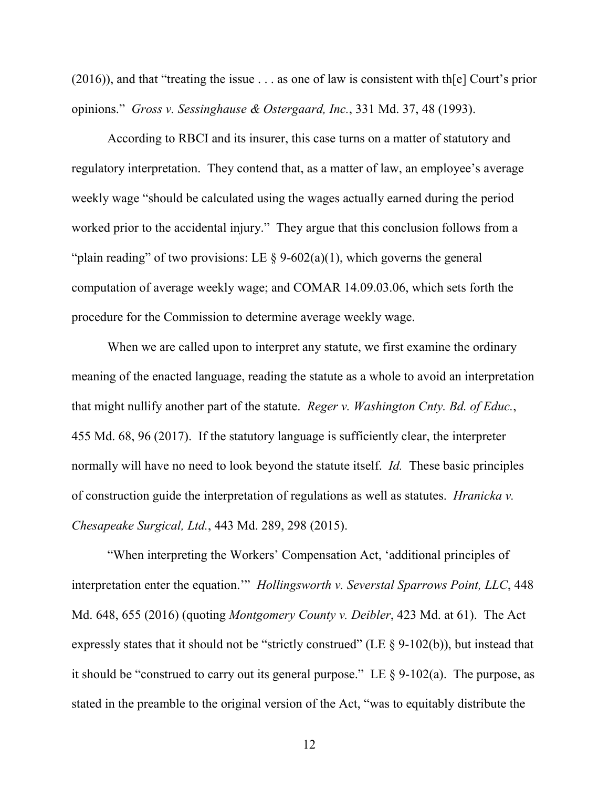$(2016)$ ), and that "treating the issue . . . as one of law is consistent with th[e] Court's prior opinions." *Gross v. Sessinghause & Ostergaard, Inc.*, 331 Md. 37, 48 (1993).

According to RBCI and its insurer, this case turns on a matter of statutory and regulatory interpretation. They contend that, as a matter of law, an employee's average weekly wage "should be calculated using the wages actually earned during the period worked prior to the accidental injury." They argue that this conclusion follows from a "plain reading" of two provisions: LE  $\S$  9-602(a)(1), which governs the general computation of average weekly wage; and COMAR 14.09.03.06, which sets forth the procedure for the Commission to determine average weekly wage.

When we are called upon to interpret any statute, we first examine the ordinary meaning of the enacted language, reading the statute as a whole to avoid an interpretation that might nullify another part of the statute. *Reger v. Washington Cnty. Bd. of Educ.*, 455 Md. 68, 96 (2017). If the statutory language is sufficiently clear, the interpreter normally will have no need to look beyond the statute itself. *Id.* These basic principles of construction guide the interpretation of regulations as well as statutes. *Hranicka v. Chesapeake Surgical, Ltd.*, 443 Md. 289, 298 (2015).

"When interpreting the Workers' Compensation Act, 'additional principles of interpretation enter the equation.'" *Hollingsworth v. Severstal Sparrows Point, LLC*, 448 Md. 648, 655 (2016) (quoting *Montgomery County v. Deibler*, 423 Md. at 61). The Act expressly states that it should not be "strictly construed" (LE  $\S$  9-102(b)), but instead that it should be "construed to carry out its general purpose." LE  $\S$  9-102(a). The purpose, as stated in the preamble to the original version of the Act, "was to equitably distribute the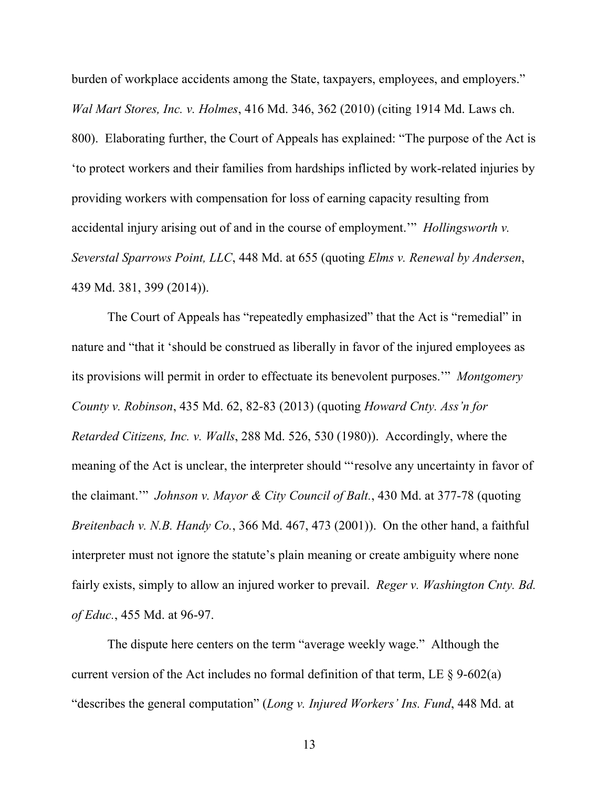burden of workplace accidents among the State, taxpayers, employees, and employers." *Wal Mart Stores, Inc. v. Holmes*, 416 Md. 346, 362 (2010) (citing 1914 Md. Laws ch. 800). Elaborating further, the Court of Appeals has explained: "The purpose of the Act is 'to protect workers and their families from hardships inflicted by work-related injuries by providing workers with compensation for loss of earning capacity resulting from accidental injury arising out of and in the course of employment.'" *Hollingsworth v. Severstal Sparrows Point, LLC*, 448 Md. at 655 (quoting *Elms v. Renewal by Andersen*, 439 Md. 381, 399 (2014)).

The Court of Appeals has "repeatedly emphasized" that the Act is "remedial" in nature and "that it 'should be construed as liberally in favor of the injured employees as its provisions will permit in order to effectuate its benevolent purposes.'" *Montgomery County v. Robinson*, 435 Md. 62, 82-83 (2013) (quoting *Howard Cnty. Ass'n for Retarded Citizens, Inc. v. Walls*, 288 Md. 526, 530 (1980)). Accordingly, where the meaning of the Act is unclear, the interpreter should "'resolve any uncertainty in favor of the claimant.'" *Johnson v. Mayor & City Council of Balt.*, 430 Md. at 377-78 (quoting *Breitenbach v. N.B. Handy Co.*, 366 Md. 467, 473 (2001)). On the other hand, a faithful interpreter must not ignore the statute's plain meaning or create ambiguity where none fairly exists, simply to allow an injured worker to prevail. *Reger v. Washington Cnty. Bd. of Educ.*, 455 Md. at 96-97.

The dispute here centers on the term "average weekly wage." Although the current version of the Act includes no formal definition of that term, LE  $\S$  9-602(a) "describes the general computation" (*Long v. Injured Workers' Ins. Fund*, 448 Md. at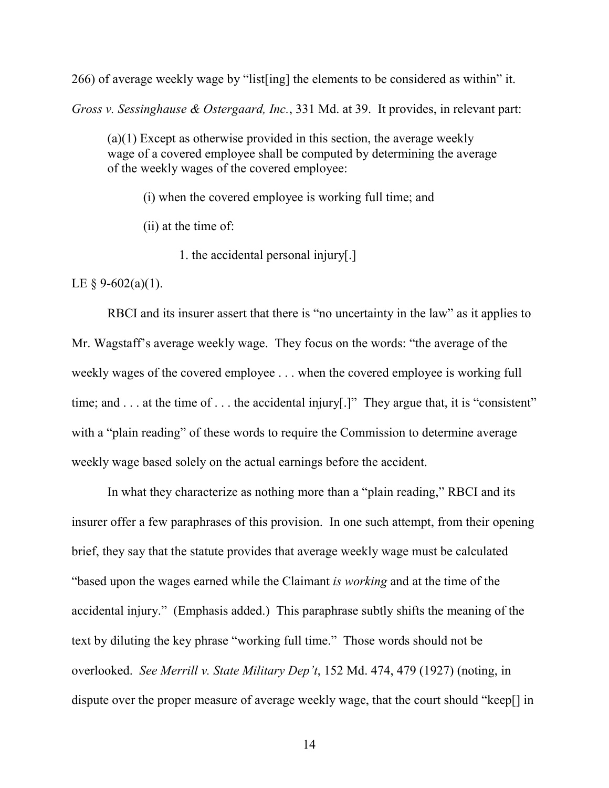266) of average weekly wage by "list[ing] the elements to be considered as within" it.

*Gross v. Sessinghause & Ostergaard, Inc.*, 331 Md. at 39. It provides, in relevant part:

(a)(1) Except as otherwise provided in this section, the average weekly wage of a covered employee shall be computed by determining the average of the weekly wages of the covered employee:

(i) when the covered employee is working full time; and

(ii) at the time of:

1. the accidental personal injury[.]

LE  $\S$  9-602(a)(1).

RBCI and its insurer assert that there is "no uncertainty in the law" as it applies to Mr. Wagstaff's average weekly wage. They focus on the words: "the average of the weekly wages of the covered employee . . . when the covered employee is working full time; and . . . at the time of . . . the accidental injury[.]" They argue that, it is "consistent" with a "plain reading" of these words to require the Commission to determine average weekly wage based solely on the actual earnings before the accident.

In what they characterize as nothing more than a "plain reading," RBCI and its insurer offer a few paraphrases of this provision. In one such attempt, from their opening brief, they say that the statute provides that average weekly wage must be calculated "based upon the wages earned while the Claimant *is working* and at the time of the accidental injury." (Emphasis added.) This paraphrase subtly shifts the meaning of the text by diluting the key phrase "working full time." Those words should not be overlooked. *See Merrill v. State Military Dep't*, 152 Md. 474, 479 (1927) (noting, in dispute over the proper measure of average weekly wage, that the court should "keep[] in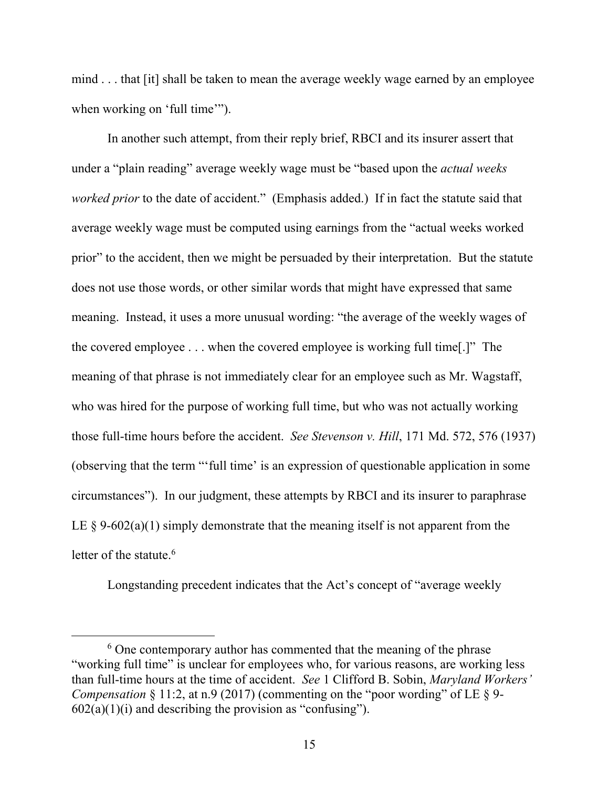mind . . . that [it] shall be taken to mean the average weekly wage earned by an employee when working on 'full time'").

In another such attempt, from their reply brief, RBCI and its insurer assert that under a "plain reading" average weekly wage must be "based upon the *actual weeks worked prior* to the date of accident." (Emphasis added.) If in fact the statute said that average weekly wage must be computed using earnings from the "actual weeks worked prior" to the accident, then we might be persuaded by their interpretation. But the statute does not use those words, or other similar words that might have expressed that same meaning. Instead, it uses a more unusual wording: "the average of the weekly wages of the covered employee . . . when the covered employee is working full time[.]" The meaning of that phrase is not immediately clear for an employee such as Mr. Wagstaff, who was hired for the purpose of working full time, but who was not actually working those full-time hours before the accident. *See Stevenson v. Hill*, 171 Md. 572, 576 (1937) (observing that the term "'full time' is an expression of questionable application in some circumstances"). In our judgment, these attempts by RBCI and its insurer to paraphrase LE  $\S$  9-602(a)(1) simply demonstrate that the meaning itself is not apparent from the letter of the statute.<sup>6</sup>

Longstanding precedent indicates that the Act's concept of "average weekly

 $6$  One contemporary author has commented that the meaning of the phrase "working full time" is unclear for employees who, for various reasons, are working less than full-time hours at the time of accident. *See* 1 Clifford B. Sobin, *Maryland Workers' Compensation*  $\S 11:2$ , at n.9 (2017) (commenting on the "poor wording" of LE  $\S 9$ - $602(a)(1)(i)$  and describing the provision as "confusing").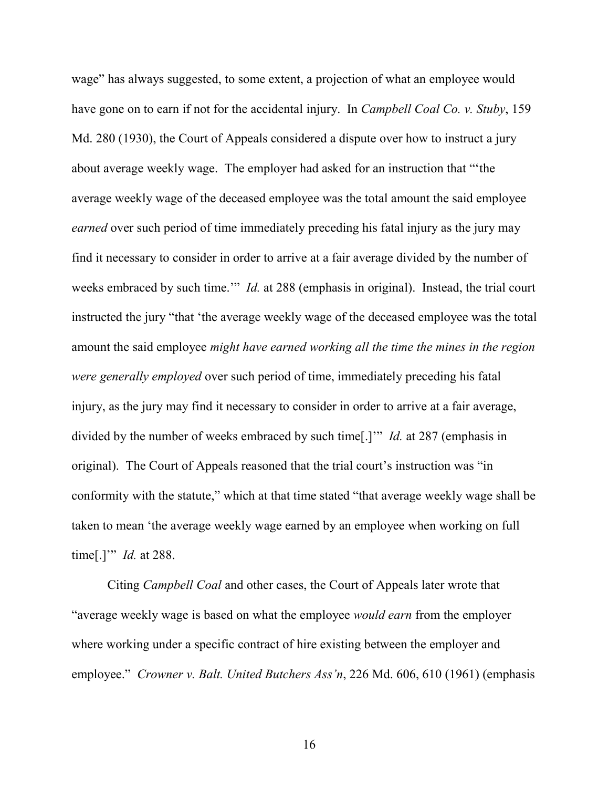wage" has always suggested, to some extent, a projection of what an employee would have gone on to earn if not for the accidental injury. In *Campbell Coal Co. v. Stuby*, 159 Md. 280 (1930), the Court of Appeals considered a dispute over how to instruct a jury about average weekly wage. The employer had asked for an instruction that "'the average weekly wage of the deceased employee was the total amount the said employee *earned* over such period of time immediately preceding his fatal injury as the jury may find it necessary to consider in order to arrive at a fair average divided by the number of weeks embraced by such time.'" *Id.* at 288 (emphasis in original). Instead, the trial court instructed the jury "that 'the average weekly wage of the deceased employee was the total amount the said employee *might have earned working all the time the mines in the region were generally employed* over such period of time, immediately preceding his fatal injury, as the jury may find it necessary to consider in order to arrive at a fair average, divided by the number of weeks embraced by such time[.]'" *Id.* at 287 (emphasis in original). The Court of Appeals reasoned that the trial court's instruction was "in conformity with the statute," which at that time stated "that average weekly wage shall be taken to mean 'the average weekly wage earned by an employee when working on full time[.]'" *Id.* at 288.

Citing *Campbell Coal* and other cases, the Court of Appeals later wrote that "average weekly wage is based on what the employee *would earn* from the employer where working under a specific contract of hire existing between the employer and employee." *Crowner v. Balt. United Butchers Ass'n*, 226 Md. 606, 610 (1961) (emphasis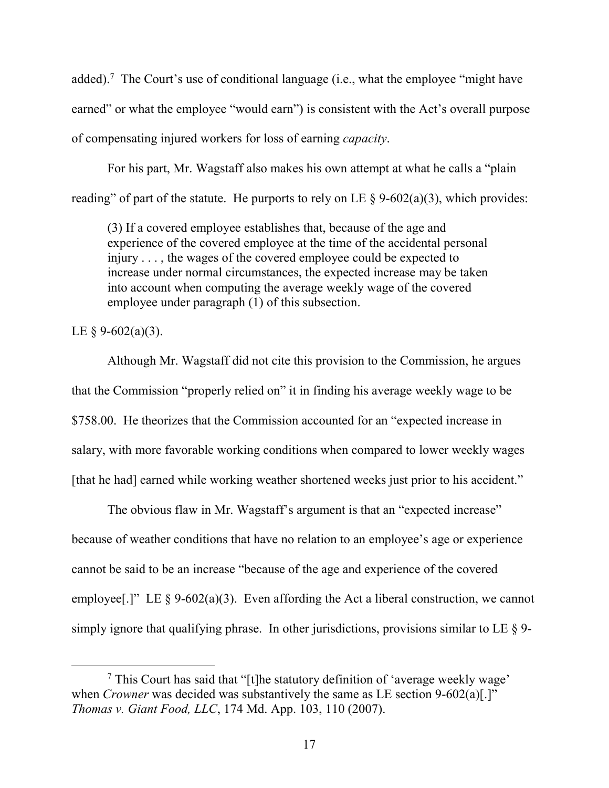added).<sup>7</sup> The Court's use of conditional language (i.e., what the employee "might have earned" or what the employee "would earn") is consistent with the Act's overall purpose of compensating injured workers for loss of earning *capacity*.

For his part, Mr. Wagstaff also makes his own attempt at what he calls a "plain reading" of part of the statute. He purports to rely on LE  $\S$  9-602(a)(3), which provides:

(3) If a covered employee establishes that, because of the age and experience of the covered employee at the time of the accidental personal injury . . . , the wages of the covered employee could be expected to increase under normal circumstances, the expected increase may be taken into account when computing the average weekly wage of the covered employee under paragraph (1) of this subsection.

## LE  $\S$  9-602(a)(3).

 $\overline{a}$ 

Although Mr. Wagstaff did not cite this provision to the Commission, he argues that the Commission "properly relied on" it in finding his average weekly wage to be \$758.00. He theorizes that the Commission accounted for an "expected increase in salary, with more favorable working conditions when compared to lower weekly wages [that he had] earned while working weather shortened weeks just prior to his accident."

The obvious flaw in Mr. Wagstaff's argument is that an "expected increase" because of weather conditions that have no relation to an employee's age or experience cannot be said to be an increase "because of the age and experience of the covered employee[.]" LE  $\S 9-602(a)(3)$ . Even affording the Act a liberal construction, we cannot simply ignore that qualifying phrase. In other jurisdictions, provisions similar to LE § 9-

<sup>7</sup> This Court has said that "[t]he statutory definition of 'average weekly wage' when *Crowner* was decided was substantively the same as LE section 9-602(a)[.]" *Thomas v. Giant Food, LLC*, 174 Md. App. 103, 110 (2007).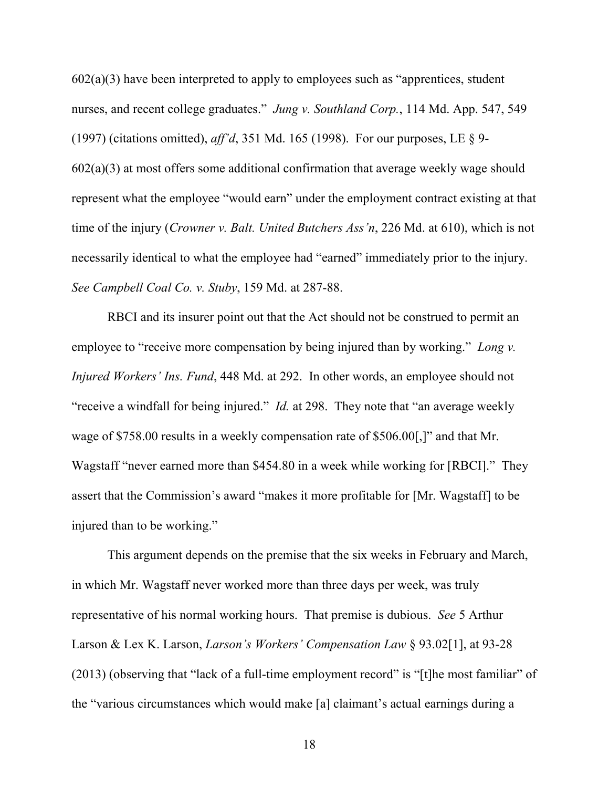$602(a)(3)$  have been interpreted to apply to employees such as "apprentices, student" nurses, and recent college graduates." *Jung v. Southland Corp.*, 114 Md. App. 547, 549 (1997) (citations omitted), *aff'd*, 351 Md. 165 (1998). For our purposes, LE § 9-  $602(a)(3)$  at most offers some additional confirmation that average weekly wage should represent what the employee "would earn" under the employment contract existing at that time of the injury (*Crowner v. Balt. United Butchers Ass'n*, 226 Md. at 610), which is not necessarily identical to what the employee had "earned" immediately prior to the injury. *See Campbell Coal Co. v. Stuby*, 159 Md. at 287-88.

RBCI and its insurer point out that the Act should not be construed to permit an employee to "receive more compensation by being injured than by working." *Long v. Injured Workers' Ins. Fund*, 448 Md. at 292. In other words, an employee should not "receive a windfall for being injured." *Id.* at 298. They note that "an average weekly wage of \$758.00 results in a weekly compensation rate of \$506.00[,]" and that Mr. Wagstaff "never earned more than \$454.80 in a week while working for [RBCI]." They assert that the Commission's award "makes it more profitable for [Mr. Wagstaff] to be injured than to be working."

This argument depends on the premise that the six weeks in February and March, in which Mr. Wagstaff never worked more than three days per week, was truly representative of his normal working hours. That premise is dubious. *See* 5 Arthur Larson & Lex K. Larson, *Larson's Workers' Compensation Law* § 93.02[1], at 93-28 (2013) (observing that "lack of a full-time employment record" is "[t]he most familiar" of the "various circumstances which would make [a] claimant's actual earnings during a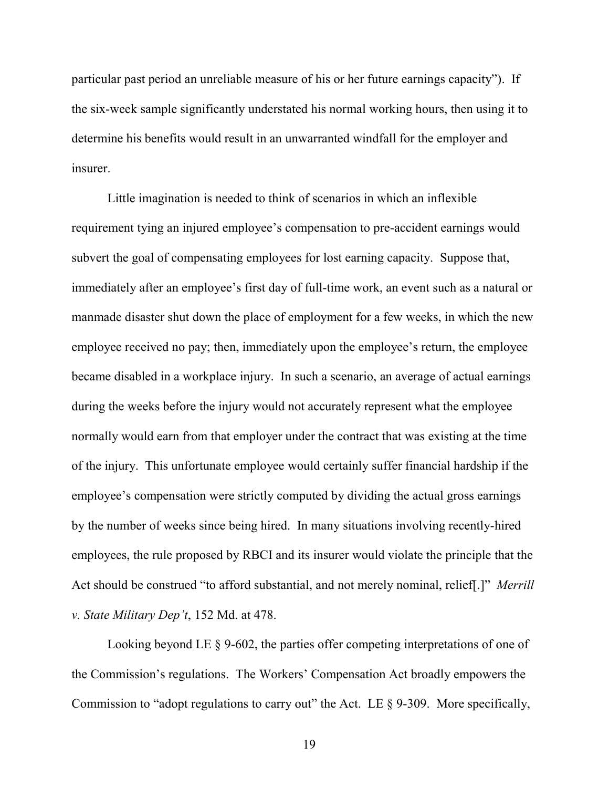particular past period an unreliable measure of his or her future earnings capacity"). If the six-week sample significantly understated his normal working hours, then using it to determine his benefits would result in an unwarranted windfall for the employer and insurer.

Little imagination is needed to think of scenarios in which an inflexible requirement tying an injured employee's compensation to pre-accident earnings would subvert the goal of compensating employees for lost earning capacity. Suppose that, immediately after an employee's first day of full-time work, an event such as a natural or manmade disaster shut down the place of employment for a few weeks, in which the new employee received no pay; then, immediately upon the employee's return, the employee became disabled in a workplace injury. In such a scenario, an average of actual earnings during the weeks before the injury would not accurately represent what the employee normally would earn from that employer under the contract that was existing at the time of the injury. This unfortunate employee would certainly suffer financial hardship if the employee's compensation were strictly computed by dividing the actual gross earnings by the number of weeks since being hired. In many situations involving recently-hired employees, the rule proposed by RBCI and its insurer would violate the principle that the Act should be construed "to afford substantial, and not merely nominal, relief[.]" *Merrill v. State Military Dep't*, 152 Md. at 478.

Looking beyond LE § 9-602, the parties offer competing interpretations of one of the Commission's regulations. The Workers' Compensation Act broadly empowers the Commission to "adopt regulations to carry out" the Act. LE § 9-309. More specifically,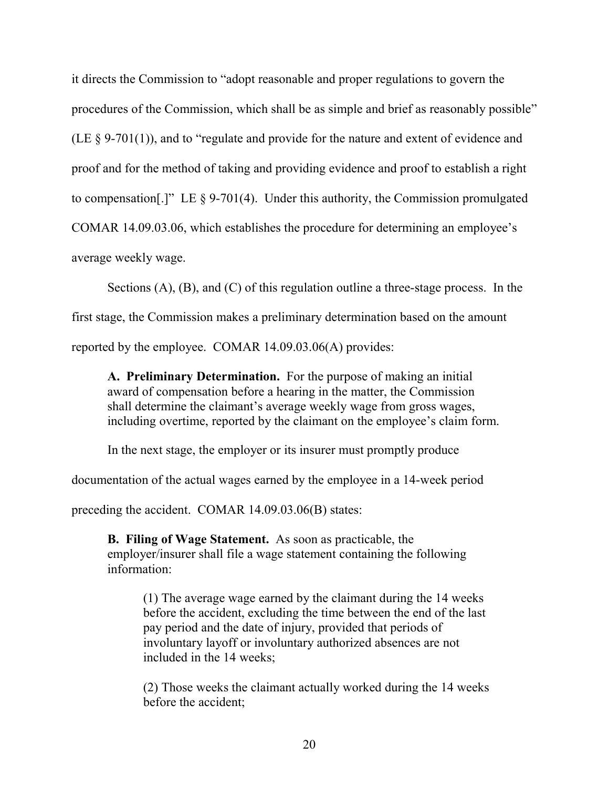it directs the Commission to "adopt reasonable and proper regulations to govern the procedures of the Commission, which shall be as simple and brief as reasonably possible" (LE § 9-701(1)), and to "regulate and provide for the nature and extent of evidence and proof and for the method of taking and providing evidence and proof to establish a right to compensation.  $\Gamma$  LE § 9-701(4). Under this authority, the Commission promulgated COMAR 14.09.03.06, which establishes the procedure for determining an employee's average weekly wage.

Sections (A), (B), and (C) of this regulation outline a three-stage process. In the first stage, the Commission makes a preliminary determination based on the amount reported by the employee. COMAR 14.09.03.06(A) provides:

**A. Preliminary Determination.** For the purpose of making an initial award of compensation before a hearing in the matter, the Commission shall determine the claimant's average weekly wage from gross wages, including overtime, reported by the claimant on the employee's claim form.

In the next stage, the employer or its insurer must promptly produce

documentation of the actual wages earned by the employee in a 14-week period

preceding the accident. COMAR 14.09.03.06(B) states:

**B. Filing of Wage Statement.** As soon as practicable, the employer/insurer shall file a wage statement containing the following information:

(1) The average wage earned by the claimant during the 14 weeks before the accident, excluding the time between the end of the last pay period and the date of injury, provided that periods of involuntary layoff or involuntary authorized absences are not included in the 14 weeks;

(2) Those weeks the claimant actually worked during the 14 weeks before the accident;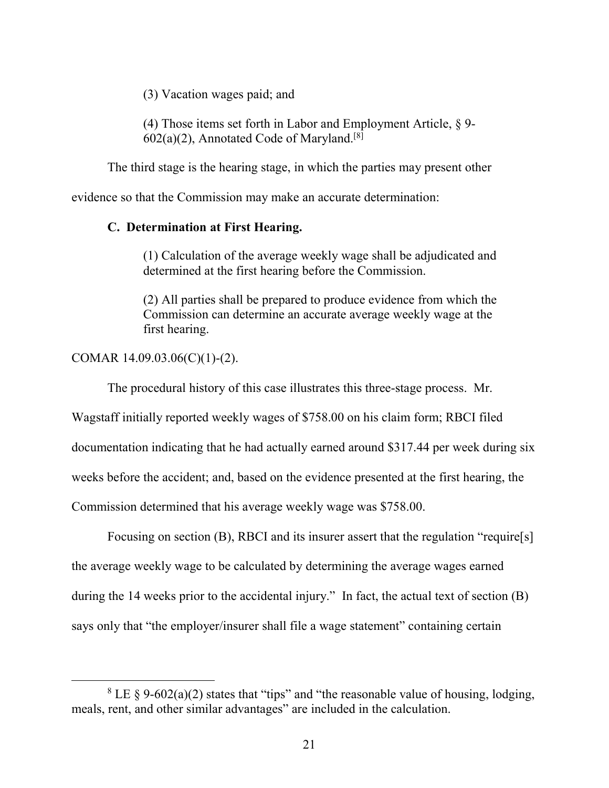(3) Vacation wages paid; and

(4) Those items set forth in Labor and Employment Article, § 9-  $602(a)(2)$ , Annotated Code of Maryland.<sup>[8]</sup>

The third stage is the hearing stage, in which the parties may present other

evidence so that the Commission may make an accurate determination:

### **C. Determination at First Hearing.**

(1) Calculation of the average weekly wage shall be adjudicated and determined at the first hearing before the Commission.

(2) All parties shall be prepared to produce evidence from which the Commission can determine an accurate average weekly wage at the first hearing.

COMAR 14.09.03.06(C)(1)-(2).

 $\overline{a}$ 

The procedural history of this case illustrates this three-stage process. Mr.

Wagstaff initially reported weekly wages of \$758.00 on his claim form; RBCI filed

documentation indicating that he had actually earned around \$317.44 per week during six

weeks before the accident; and, based on the evidence presented at the first hearing, the

Commission determined that his average weekly wage was \$758.00.

Focusing on section (B), RBCI and its insurer assert that the regulation "require[s] the average weekly wage to be calculated by determining the average wages earned during the 14 weeks prior to the accidental injury." In fact, the actual text of section (B) says only that "the employer/insurer shall file a wage statement" containing certain

 $8$  LE § 9-602(a)(2) states that "tips" and "the reasonable value of housing, lodging, meals, rent, and other similar advantages" are included in the calculation.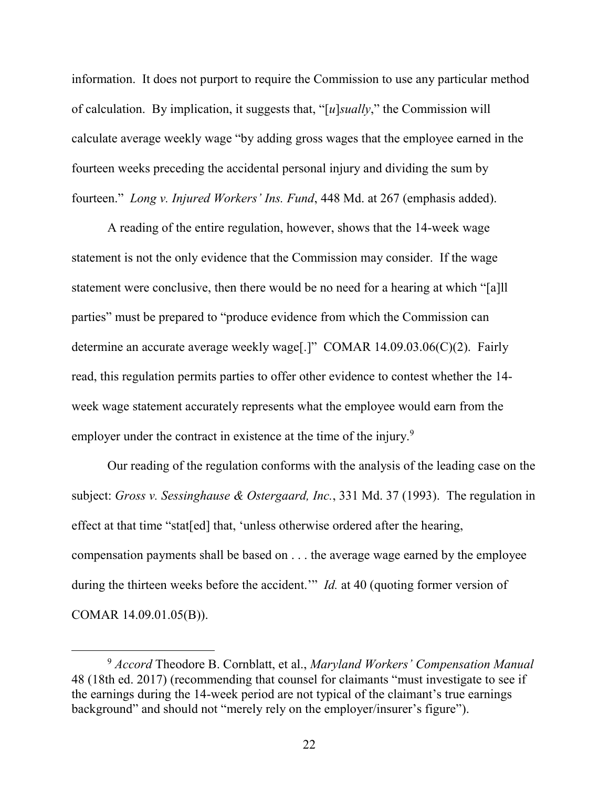information. It does not purport to require the Commission to use any particular method of calculation. By implication, it suggests that, "[*u*]*sually*," the Commission will calculate average weekly wage "by adding gross wages that the employee earned in the fourteen weeks preceding the accidental personal injury and dividing the sum by fourteen." *Long v. Injured Workers' Ins. Fund*, 448 Md. at 267 (emphasis added).

A reading of the entire regulation, however, shows that the 14-week wage statement is not the only evidence that the Commission may consider. If the wage statement were conclusive, then there would be no need for a hearing at which "[a]ll parties" must be prepared to "produce evidence from which the Commission can determine an accurate average weekly wage[.]" COMAR 14.09.03.06(C)(2). Fairly read, this regulation permits parties to offer other evidence to contest whether the 14 week wage statement accurately represents what the employee would earn from the employer under the contract in existence at the time of the injury.<sup>9</sup>

Our reading of the regulation conforms with the analysis of the leading case on the subject: *Gross v. Sessinghause & Ostergaard, Inc.*, 331 Md. 37 (1993). The regulation in effect at that time "stat[ed] that, 'unless otherwise ordered after the hearing, compensation payments shall be based on . . . the average wage earned by the employee during the thirteen weeks before the accident.'" *Id.* at 40 (quoting former version of COMAR 14.09.01.05(B)).

<sup>9</sup> *Accord* Theodore B. Cornblatt, et al., *Maryland Workers' Compensation Manual* 48 (18th ed. 2017) (recommending that counsel for claimants "must investigate to see if the earnings during the 14-week period are not typical of the claimant's true earnings background" and should not "merely rely on the employer/insurer's figure").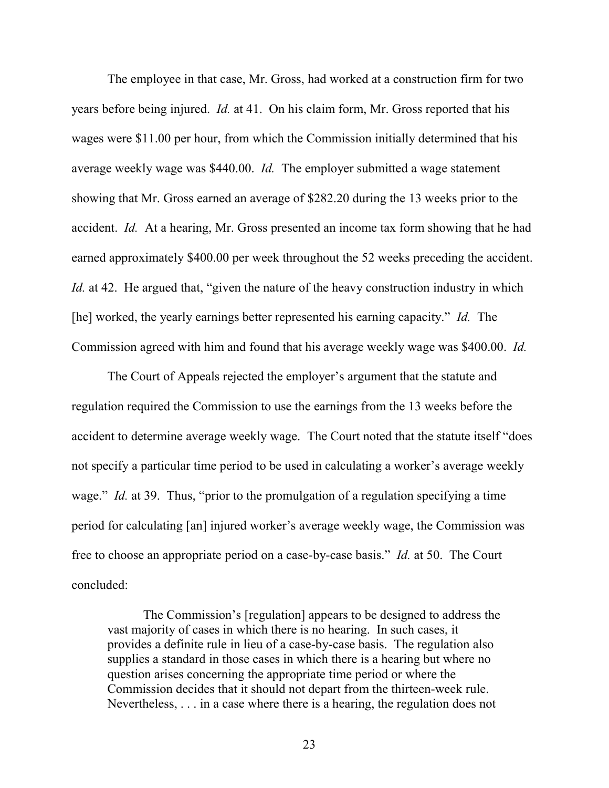The employee in that case, Mr. Gross, had worked at a construction firm for two years before being injured. *Id.* at 41. On his claim form, Mr. Gross reported that his wages were \$11.00 per hour, from which the Commission initially determined that his average weekly wage was \$440.00. *Id.* The employer submitted a wage statement showing that Mr. Gross earned an average of \$282.20 during the 13 weeks prior to the accident. *Id.* At a hearing, Mr. Gross presented an income tax form showing that he had earned approximately \$400.00 per week throughout the 52 weeks preceding the accident. *Id.* at 42. He argued that, "given the nature of the heavy construction industry in which [he] worked, the yearly earnings better represented his earning capacity." *Id.* The Commission agreed with him and found that his average weekly wage was \$400.00. *Id.*

The Court of Appeals rejected the employer's argument that the statute and regulation required the Commission to use the earnings from the 13 weeks before the accident to determine average weekly wage. The Court noted that the statute itself "does not specify a particular time period to be used in calculating a worker's average weekly wage." *Id.* at 39. Thus, "prior to the promulgation of a regulation specifying a time period for calculating [an] injured worker's average weekly wage, the Commission was free to choose an appropriate period on a case-by-case basis." *Id.* at 50. The Court concluded:

The Commission's [regulation] appears to be designed to address the vast majority of cases in which there is no hearing. In such cases, it provides a definite rule in lieu of a case-by-case basis. The regulation also supplies a standard in those cases in which there is a hearing but where no question arises concerning the appropriate time period or where the Commission decides that it should not depart from the thirteen-week rule. Nevertheless, . . . in a case where there is a hearing, the regulation does not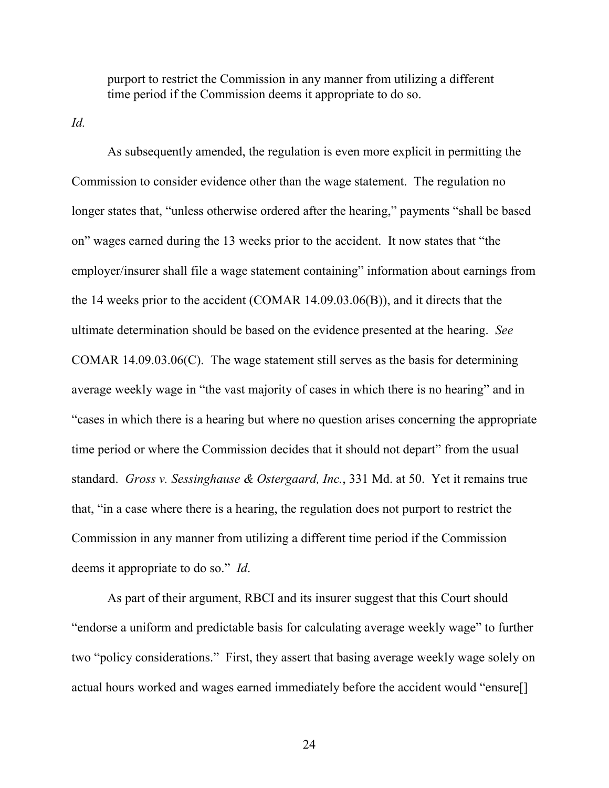purport to restrict the Commission in any manner from utilizing a different time period if the Commission deems it appropriate to do so.

*Id.*

As subsequently amended, the regulation is even more explicit in permitting the Commission to consider evidence other than the wage statement. The regulation no longer states that, "unless otherwise ordered after the hearing," payments "shall be based on" wages earned during the 13 weeks prior to the accident. It now states that "the employer/insurer shall file a wage statement containing" information about earnings from the 14 weeks prior to the accident (COMAR 14.09.03.06(B)), and it directs that the ultimate determination should be based on the evidence presented at the hearing. *See*  COMAR 14.09.03.06(C). The wage statement still serves as the basis for determining average weekly wage in "the vast majority of cases in which there is no hearing" and in "cases in which there is a hearing but where no question arises concerning the appropriate time period or where the Commission decides that it should not depart" from the usual standard. *Gross v. Sessinghause & Ostergaard, Inc.*, 331 Md. at 50. Yet it remains true that, "in a case where there is a hearing, the regulation does not purport to restrict the Commission in any manner from utilizing a different time period if the Commission deems it appropriate to do so." *Id*.

As part of their argument, RBCI and its insurer suggest that this Court should "endorse a uniform and predictable basis for calculating average weekly wage" to further two "policy considerations." First, they assert that basing average weekly wage solely on actual hours worked and wages earned immediately before the accident would "ensure[]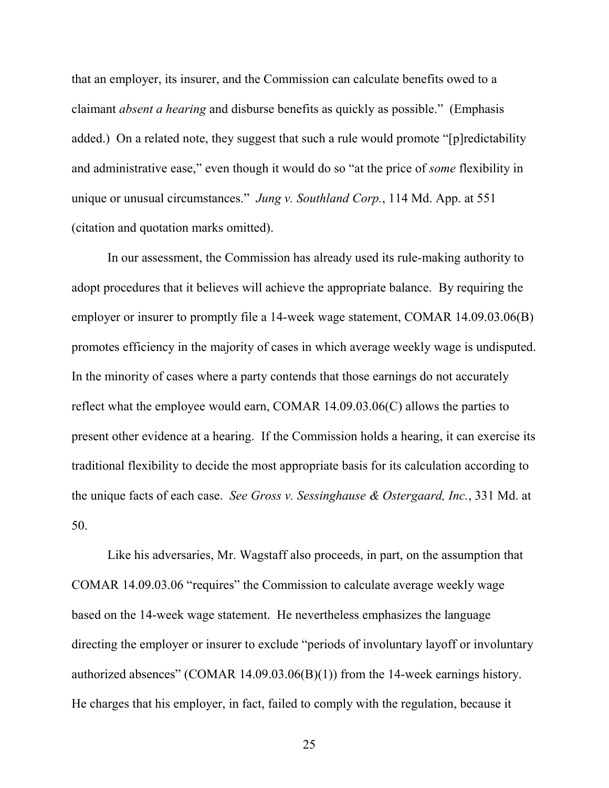that an employer, its insurer, and the Commission can calculate benefits owed to a claimant *absent a hearing* and disburse benefits as quickly as possible." (Emphasis added.) On a related note, they suggest that such a rule would promote "[p]redictability and administrative ease," even though it would do so "at the price of *some* flexibility in unique or unusual circumstances." *Jung v. Southland Corp.*, 114 Md. App. at 551 (citation and quotation marks omitted).

In our assessment, the Commission has already used its rule-making authority to adopt procedures that it believes will achieve the appropriate balance. By requiring the employer or insurer to promptly file a 14-week wage statement, COMAR 14.09.03.06(B) promotes efficiency in the majority of cases in which average weekly wage is undisputed. In the minority of cases where a party contends that those earnings do not accurately reflect what the employee would earn, COMAR 14.09.03.06(C) allows the parties to present other evidence at a hearing. If the Commission holds a hearing, it can exercise its traditional flexibility to decide the most appropriate basis for its calculation according to the unique facts of each case. *See Gross v. Sessinghause & Ostergaard, Inc.*, 331 Md. at 50.

Like his adversaries, Mr. Wagstaff also proceeds, in part, on the assumption that COMAR 14.09.03.06 "requires" the Commission to calculate average weekly wage based on the 14-week wage statement. He nevertheless emphasizes the language directing the employer or insurer to exclude "periods of involuntary layoff or involuntary authorized absences" (COMAR 14.09.03.06(B)(1)) from the 14-week earnings history. He charges that his employer, in fact, failed to comply with the regulation, because it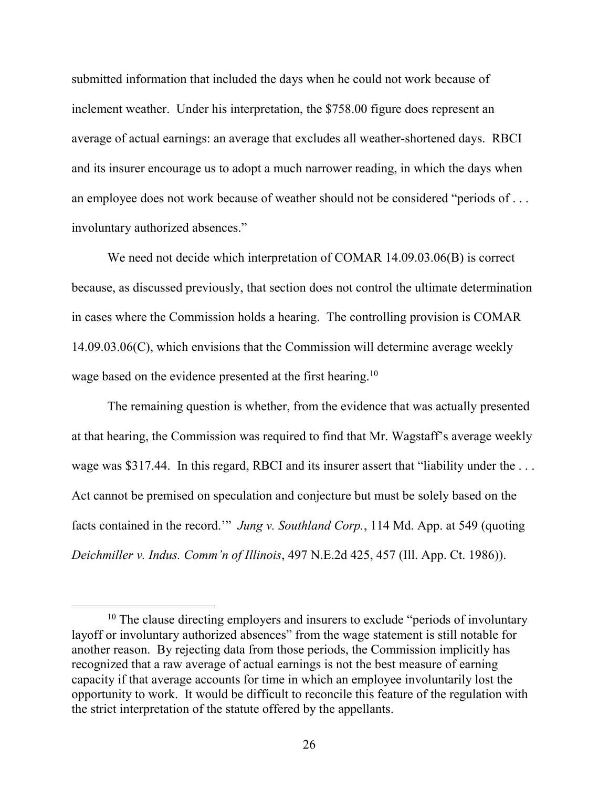submitted information that included the days when he could not work because of inclement weather. Under his interpretation, the \$758.00 figure does represent an average of actual earnings: an average that excludes all weather-shortened days. RBCI and its insurer encourage us to adopt a much narrower reading, in which the days when an employee does not work because of weather should not be considered "periods of . . . involuntary authorized absences."

We need not decide which interpretation of COMAR 14.09.03.06(B) is correct because, as discussed previously, that section does not control the ultimate determination in cases where the Commission holds a hearing. The controlling provision is COMAR 14.09.03.06(C), which envisions that the Commission will determine average weekly wage based on the evidence presented at the first hearing.<sup>10</sup>

The remaining question is whether, from the evidence that was actually presented at that hearing, the Commission was required to find that Mr. Wagstaff's average weekly wage was \$317.44. In this regard, RBCI and its insurer assert that "liability under the ... Act cannot be premised on speculation and conjecture but must be solely based on the facts contained in the record.'" *Jung v. Southland Corp.*, 114 Md. App. at 549 (quoting *Deichmiller v. Indus. Comm'n of Illinois*, 497 N.E.2d 425, 457 (Ill. App. Ct. 1986)).

 $10$  The clause directing employers and insurers to exclude "periods of involuntary" layoff or involuntary authorized absences" from the wage statement is still notable for another reason. By rejecting data from those periods, the Commission implicitly has recognized that a raw average of actual earnings is not the best measure of earning capacity if that average accounts for time in which an employee involuntarily lost the opportunity to work. It would be difficult to reconcile this feature of the regulation with the strict interpretation of the statute offered by the appellants.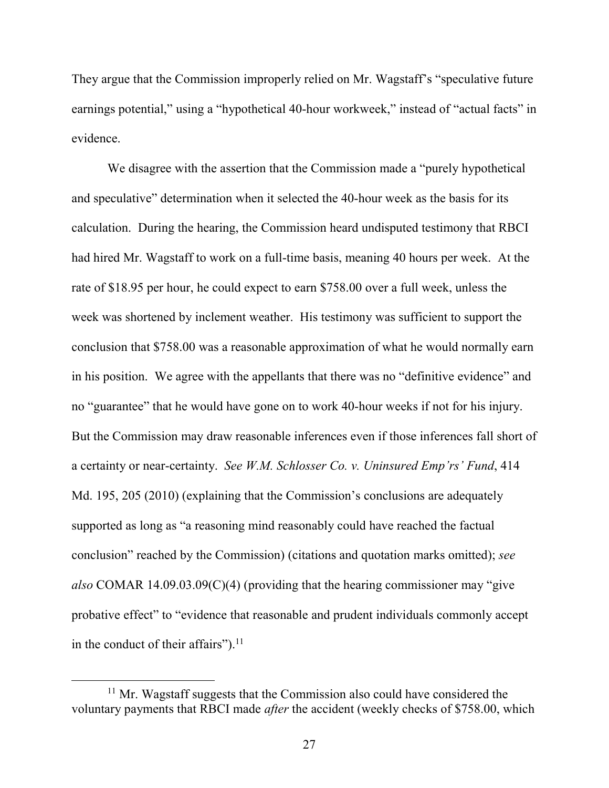They argue that the Commission improperly relied on Mr. Wagstaff's "speculative future earnings potential," using a "hypothetical 40-hour workweek," instead of "actual facts" in evidence.

We disagree with the assertion that the Commission made a "purely hypothetical and speculative" determination when it selected the 40-hour week as the basis for its calculation. During the hearing, the Commission heard undisputed testimony that RBCI had hired Mr. Wagstaff to work on a full-time basis, meaning 40 hours per week. At the rate of \$18.95 per hour, he could expect to earn \$758.00 over a full week, unless the week was shortened by inclement weather. His testimony was sufficient to support the conclusion that \$758.00 was a reasonable approximation of what he would normally earn in his position. We agree with the appellants that there was no "definitive evidence" and no "guarantee" that he would have gone on to work 40-hour weeks if not for his injury. But the Commission may draw reasonable inferences even if those inferences fall short of a certainty or near-certainty. *See W.M. Schlosser Co. v. Uninsured Emp'rs' Fund*, 414 Md. 195, 205 (2010) (explaining that the Commission's conclusions are adequately supported as long as "a reasoning mind reasonably could have reached the factual conclusion" reached by the Commission) (citations and quotation marks omitted); *see also* COMAR 14.09.03.09(C)(4) (providing that the hearing commissioner may "give probative effect" to "evidence that reasonable and prudent individuals commonly accept in the conduct of their affairs"). $^{11}$ 

 $11$  Mr. Wagstaff suggests that the Commission also could have considered the voluntary payments that RBCI made *after* the accident (weekly checks of \$758.00, which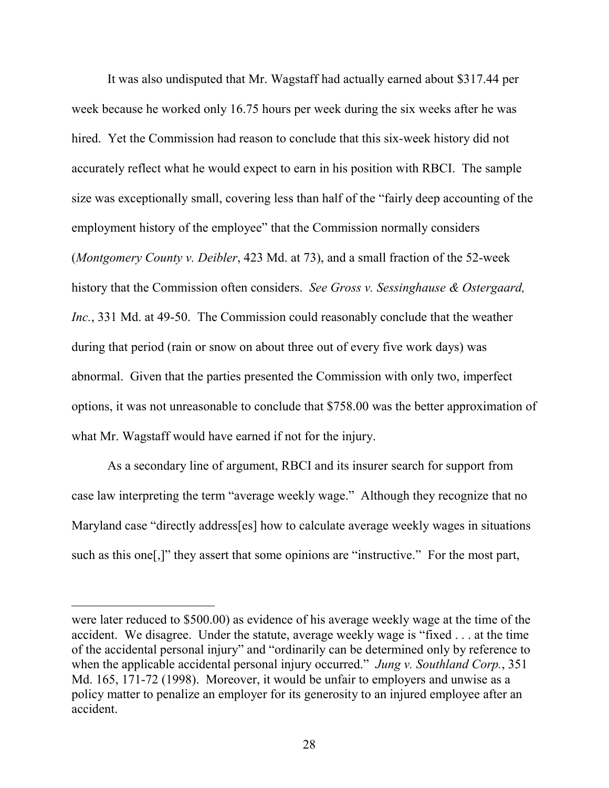It was also undisputed that Mr. Wagstaff had actually earned about \$317.44 per week because he worked only 16.75 hours per week during the six weeks after he was hired. Yet the Commission had reason to conclude that this six-week history did not accurately reflect what he would expect to earn in his position with RBCI. The sample size was exceptionally small, covering less than half of the "fairly deep accounting of the employment history of the employee" that the Commission normally considers (*Montgomery County v. Deibler*, 423 Md. at 73), and a small fraction of the 52-week history that the Commission often considers. *See Gross v. Sessinghause & Ostergaard, Inc.*, 331 Md. at 49-50. The Commission could reasonably conclude that the weather during that period (rain or snow on about three out of every five work days) was abnormal. Given that the parties presented the Commission with only two, imperfect options, it was not unreasonable to conclude that \$758.00 was the better approximation of what Mr. Wagstaff would have earned if not for the injury.

As a secondary line of argument, RBCI and its insurer search for support from case law interpreting the term "average weekly wage." Although they recognize that no Maryland case "directly address[es] how to calculate average weekly wages in situations such as this one[,]" they assert that some opinions are "instructive." For the most part,

were later reduced to \$500.00) as evidence of his average weekly wage at the time of the accident. We disagree. Under the statute, average weekly wage is "fixed . . . at the time of the accidental personal injury" and "ordinarily can be determined only by reference to when the applicable accidental personal injury occurred." *Jung v. Southland Corp.*, 351 Md. 165, 171-72 (1998). Moreover, it would be unfair to employers and unwise as a policy matter to penalize an employer for its generosity to an injured employee after an accident.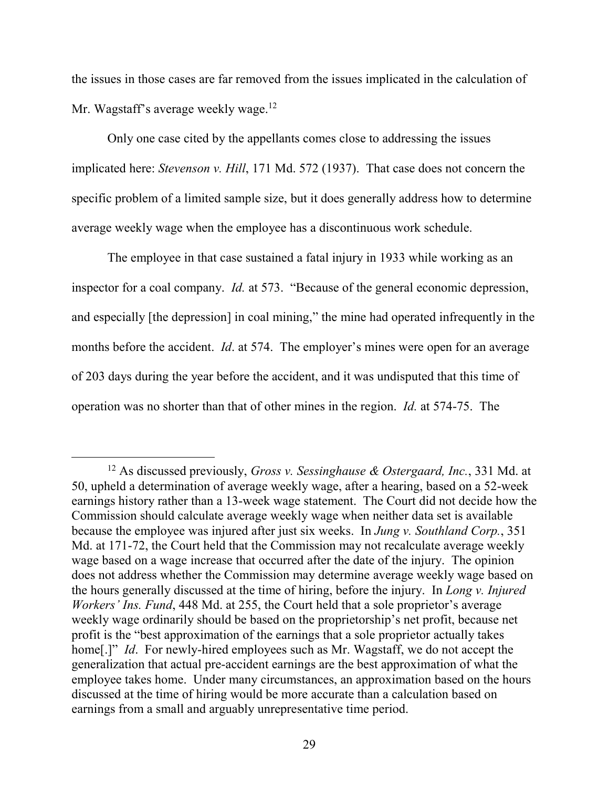the issues in those cases are far removed from the issues implicated in the calculation of Mr. Wagstaff's average weekly wage.<sup>12</sup>

Only one case cited by the appellants comes close to addressing the issues implicated here: *Stevenson v. Hill*, 171 Md. 572 (1937). That case does not concern the specific problem of a limited sample size, but it does generally address how to determine average weekly wage when the employee has a discontinuous work schedule.

The employee in that case sustained a fatal injury in 1933 while working as an inspector for a coal company. *Id.* at 573. "Because of the general economic depression, and especially [the depression] in coal mining," the mine had operated infrequently in the months before the accident. *Id*. at 574. The employer's mines were open for an average of 203 days during the year before the accident, and it was undisputed that this time of operation was no shorter than that of other mines in the region. *Id.* at 574-75. The

<sup>12</sup> As discussed previously, *Gross v. Sessinghause & Ostergaard, Inc.*, 331 Md. at 50, upheld a determination of average weekly wage, after a hearing, based on a 52-week earnings history rather than a 13-week wage statement. The Court did not decide how the Commission should calculate average weekly wage when neither data set is available because the employee was injured after just six weeks. In *Jung v. Southland Corp.*, 351 Md. at 171-72, the Court held that the Commission may not recalculate average weekly wage based on a wage increase that occurred after the date of the injury. The opinion does not address whether the Commission may determine average weekly wage based on the hours generally discussed at the time of hiring, before the injury. In *Long v. Injured Workers' Ins. Fund*, 448 Md. at 255, the Court held that a sole proprietor's average weekly wage ordinarily should be based on the proprietorship's net profit, because net profit is the "best approximation of the earnings that a sole proprietor actually takes home[.]" *Id.* For newly-hired employees such as Mr. Wagstaff, we do not accept the generalization that actual pre-accident earnings are the best approximation of what the employee takes home. Under many circumstances, an approximation based on the hours discussed at the time of hiring would be more accurate than a calculation based on earnings from a small and arguably unrepresentative time period.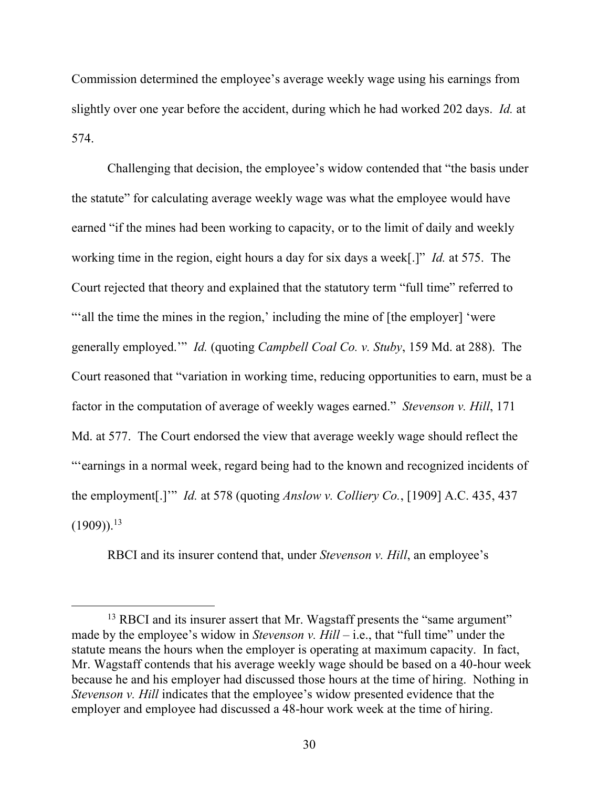Commission determined the employee's average weekly wage using his earnings from slightly over one year before the accident, during which he had worked 202 days. *Id.* at 574.

Challenging that decision, the employee's widow contended that "the basis under the statute" for calculating average weekly wage was what the employee would have earned "if the mines had been working to capacity, or to the limit of daily and weekly working time in the region, eight hours a day for six days a week[.]" *Id.* at 575. The Court rejected that theory and explained that the statutory term "full time" referred to "'all the time the mines in the region,' including the mine of [the employer] 'were generally employed.'" *Id.* (quoting *Campbell Coal Co. v. Stuby*, 159 Md. at 288). The Court reasoned that "variation in working time, reducing opportunities to earn, must be a factor in the computation of average of weekly wages earned." *Stevenson v. Hill*, 171 Md. at 577. The Court endorsed the view that average weekly wage should reflect the "'earnings in a normal week, regard being had to the known and recognized incidents of the employment[.]'" *Id.* at 578 (quoting *Anslow v. Colliery Co.*, [1909] A.C. 435, 437  $(1909)$ <sup>13</sup>

RBCI and its insurer contend that, under *Stevenson v. Hill*, an employee's

<sup>&</sup>lt;sup>13</sup> RBCI and its insurer assert that Mr. Wagstaff presents the "same argument" made by the employee's widow in *Stevenson v. Hill* – i.e., that "full time" under the statute means the hours when the employer is operating at maximum capacity. In fact, Mr. Wagstaff contends that his average weekly wage should be based on a 40-hour week because he and his employer had discussed those hours at the time of hiring. Nothing in *Stevenson v. Hill* indicates that the employee's widow presented evidence that the employer and employee had discussed a 48-hour work week at the time of hiring.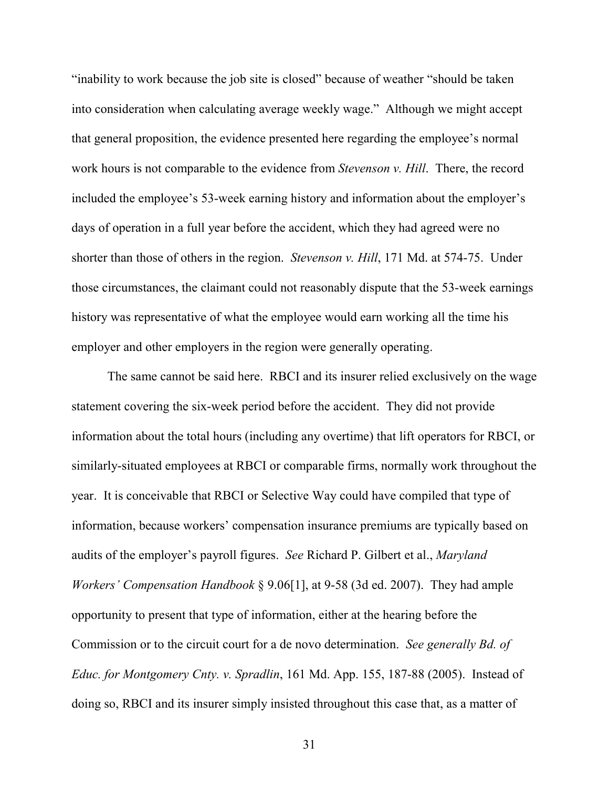"inability to work because the job site is closed" because of weather "should be taken into consideration when calculating average weekly wage." Although we might accept that general proposition, the evidence presented here regarding the employee's normal work hours is not comparable to the evidence from *Stevenson v. Hill*. There, the record included the employee's 53-week earning history and information about the employer's days of operation in a full year before the accident, which they had agreed were no shorter than those of others in the region. *Stevenson v. Hill*, 171 Md. at 574-75. Under those circumstances, the claimant could not reasonably dispute that the 53-week earnings history was representative of what the employee would earn working all the time his employer and other employers in the region were generally operating.

The same cannot be said here. RBCI and its insurer relied exclusively on the wage statement covering the six-week period before the accident. They did not provide information about the total hours (including any overtime) that lift operators for RBCI, or similarly-situated employees at RBCI or comparable firms, normally work throughout the year. It is conceivable that RBCI or Selective Way could have compiled that type of information, because workers' compensation insurance premiums are typically based on audits of the employer's payroll figures. *See* Richard P. Gilbert et al., *Maryland Workers' Compensation Handbook* § 9.06[1], at 9-58 (3d ed. 2007). They had ample opportunity to present that type of information, either at the hearing before the Commission or to the circuit court for a de novo determination. *See generally Bd. of Educ. for Montgomery Cnty. v. Spradlin*, 161 Md. App. 155, 187-88 (2005). Instead of doing so, RBCI and its insurer simply insisted throughout this case that, as a matter of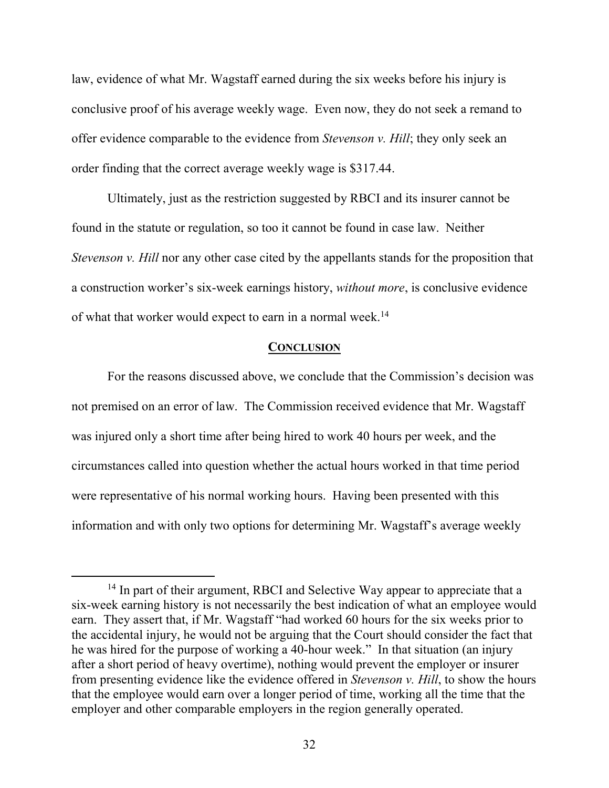law, evidence of what Mr. Wagstaff earned during the six weeks before his injury is conclusive proof of his average weekly wage. Even now, they do not seek a remand to offer evidence comparable to the evidence from *Stevenson v. Hill*; they only seek an order finding that the correct average weekly wage is \$317.44.

Ultimately, just as the restriction suggested by RBCI and its insurer cannot be found in the statute or regulation, so too it cannot be found in case law. Neither *Stevenson v. Hill* nor any other case cited by the appellants stands for the proposition that a construction worker's six-week earnings history, *without more*, is conclusive evidence of what that worker would expect to earn in a normal week.<sup>14</sup>

#### **CONCLUSION**

For the reasons discussed above, we conclude that the Commission's decision was not premised on an error of law. The Commission received evidence that Mr. Wagstaff was injured only a short time after being hired to work 40 hours per week, and the circumstances called into question whether the actual hours worked in that time period were representative of his normal working hours. Having been presented with this information and with only two options for determining Mr. Wagstaff's average weekly

<sup>&</sup>lt;sup>14</sup> In part of their argument, RBCI and Selective Way appear to appreciate that a six-week earning history is not necessarily the best indication of what an employee would earn. They assert that, if Mr. Wagstaff "had worked 60 hours for the six weeks prior to the accidental injury, he would not be arguing that the Court should consider the fact that he was hired for the purpose of working a 40-hour week." In that situation (an injury after a short period of heavy overtime), nothing would prevent the employer or insurer from presenting evidence like the evidence offered in *Stevenson v. Hill*, to show the hours that the employee would earn over a longer period of time, working all the time that the employer and other comparable employers in the region generally operated.